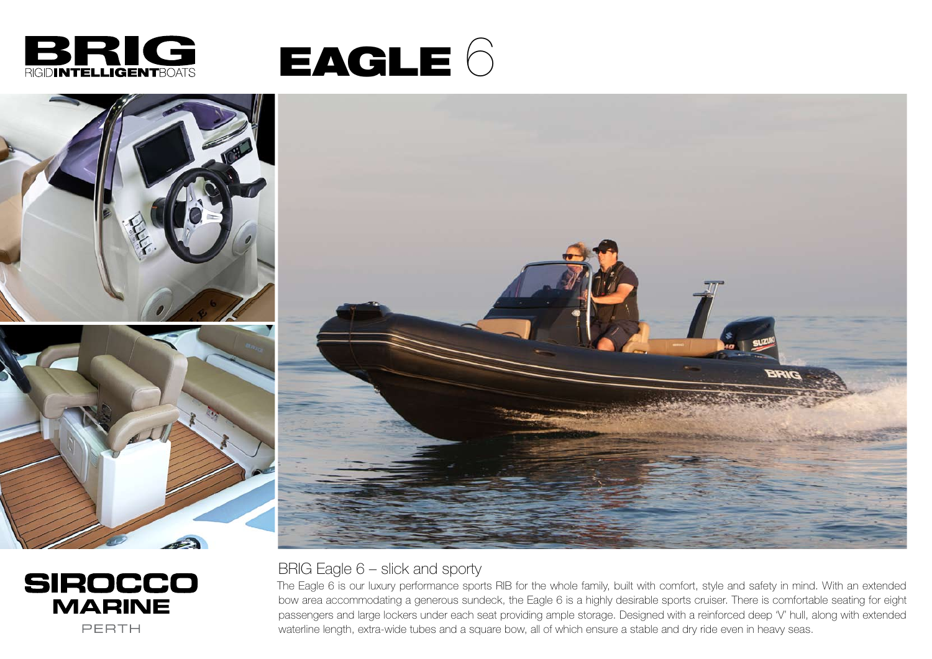





## **SIROCCO MARINE** PERTH

## BRIG Eagle 6 – slick and sporty

The Eagle 6 is our luxury performance sports RIB for the whole family, built with comfort, style and safety in mind. With an extended bow area accommodating a generous sundeck, the Eagle 6 is a highly desirable sports cruiser. There is comfortable seating for eight passengers and large lockers under each seat providing ample storage. Designed with a reinforced deep 'V' hull, along with extended waterline length, extra-wide tubes and a square bow, all of which ensure a stable and dry ride even in heavy seas.